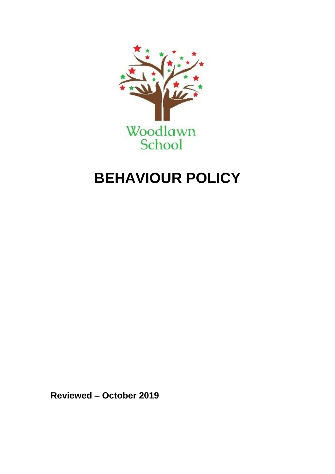

# **BEHAVIOUR POLICY**

**Reviewed – October 2019**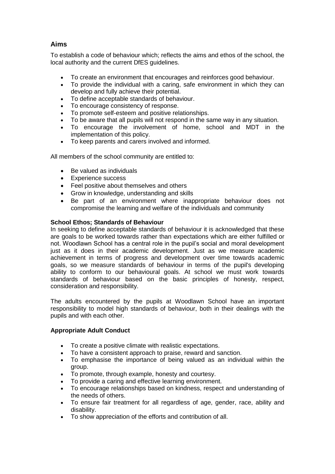### **Aims**

To establish a code of behaviour which; reflects the aims and ethos of the school, the local authority and the current DfES guidelines.

- To create an environment that encourages and reinforces good behaviour.
- To provide the individual with a caring, safe environment in which they can develop and fully achieve their potential.
- To define acceptable standards of behaviour.
- To encourage consistency of response.
- To promote self-esteem and positive relationships.
- To be aware that all pupils will not respond in the same way in any situation.
- To encourage the involvement of home, school and MDT in the implementation of this policy.
- To keep parents and carers involved and informed.

All members of the school community are entitled to:

- Be valued as individuals
- Experience success
- Feel positive about themselves and others
- Grow in knowledge, understanding and skills
- Be part of an environment where inappropriate behaviour does not compromise the learning and welfare of the individuals and community

#### **School Ethos; Standards of Behaviour**

In seeking to define acceptable standards of behaviour it is acknowledged that these are goals to be worked towards rather than expectations which are either fulfilled or not. Woodlawn School has a central role in the pupil's social and moral development just as it does in their academic development. Just as we measure academic achievement in terms of progress and development over time towards academic goals, so we measure standards of behaviour in terms of the pupil's developing ability to conform to our behavioural goals. At school we must work towards standards of behaviour based on the basic principles of honesty, respect, consideration and responsibility.

The adults encountered by the pupils at Woodlawn School have an important responsibility to model high standards of behaviour, both in their dealings with the pupils and with each other.

#### **Appropriate Adult Conduct**

- To create a positive climate with realistic expectations.
- To have a consistent approach to praise, reward and sanction.
- To emphasise the importance of being valued as an individual within the group.
- To promote, through example, honesty and courtesy.
- To provide a caring and effective learning environment.
- To encourage relationships based on kindness, respect and understanding of the needs of others.
- To ensure fair treatment for all regardless of age, gender, race, ability and disability.
- To show appreciation of the efforts and contribution of all.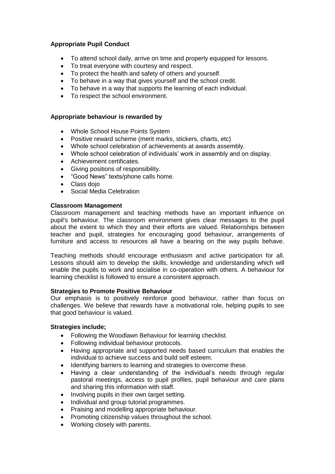#### **Appropriate Pupil Conduct**

- To attend school daily, arrive on time and properly equipped for lessons.
- To treat everyone with courtesy and respect.
- To protect the health and safety of others and yourself.
- To behave in a way that gives yourself and the school credit.
- To behave in a way that supports the learning of each individual.
- To respect the school environment.

#### **Appropriate behaviour is rewarded by**

- Whole School House Points System
- Positive reward scheme (merit marks, stickers, charts, etc)
- Whole school celebration of achievements at awards assembly.
- Whole school celebration of individuals' work in assembly and on display.<br>• Achievement certificates.
- Achievement certificates.
- Giving positions of responsibility.
- "Good News" texts/phone calls home.
- Class doio
- Social Media Celebration

#### **Classroom Management**

Classroom management and teaching methods have an important influence on pupil's behaviour. The classroom environment gives clear messages to the pupil about the extent to which they and their efforts are valued. Relationships between teacher and pupil, strategies for encouraging good behaviour, arrangements of furniture and access to resources all have a bearing on the way pupils behave.

Teaching methods should encourage enthusiasm and active participation for all. Lessons should aim to develop the skills, knowledge and understanding which will enable the pupils to work and socialise in co-operation with others. A behaviour for learning checklist is followed to ensure a consistent approach.

#### **Strategies to Promote Positive Behaviour**

Our emphasis is to positively reinforce good behaviour, rather than focus on challenges. We believe that rewards have a motivational role, helping pupils to see that good behaviour is valued.

#### **Strategies include;**

- Following the Woodlawn Behaviour for learning checklist.
- Following individual behaviour protocols.
- Having appropriate and supported needs based curriculum that enables the individual to achieve success and build self esteem.
- Identifying barriers to learning and strategies to overcome these.
- Having a clear understanding of the individual's needs through regular pastoral meetings, access to pupil profiles, pupil behaviour and care plans and sharing this information with staff.
- Involving pupils in their own target setting.
- Individual and group tutorial programmes.
- Praising and modelling appropriate behaviour.
- Promoting citizenship values throughout the school.
- Working closely with parents.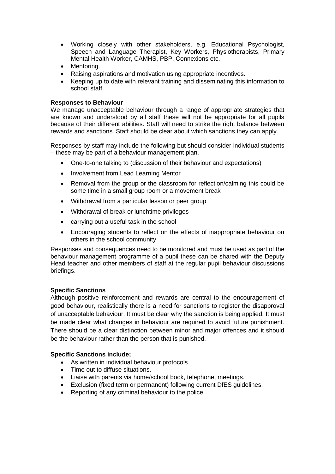- Working closely with other stakeholders, e.g. Educational Psychologist, Speech and Language Therapist, Key Workers, Physiotherapists, Primary Mental Health Worker, CAMHS, PBP, Connexions etc.
- Mentoring.
- Raising aspirations and motivation using appropriate incentives.
- Keeping up to date with relevant training and disseminating this information to school staff.

#### **Responses to Behaviour**

We manage unacceptable behaviour through a range of appropriate strategies that are known and understood by all staff these will not be appropriate for all pupils because of their different abilities. Staff will need to strike the right balance between rewards and sanctions. Staff should be clear about which sanctions they can apply.

Responses by staff may include the following but should consider individual students – these may be part of a behaviour management plan.

- One-to-one talking to (discussion of their behaviour and expectations)
- Involvement from Lead Learning Mentor
- Removal from the group or the classroom for reflection/calming this could be some time in a small group room or a movement break
- Withdrawal from a particular lesson or peer group
- Withdrawal of break or lunchtime privileges
- carrying out a useful task in the school
- Encouraging students to reflect on the effects of inappropriate behaviour on others in the school community

Responses and consequences need to be monitored and must be used as part of the behaviour management programme of a pupil these can be shared with the Deputy Head teacher and other members of staff at the regular pupil behaviour discussions briefings.

#### **Specific Sanctions**

Although positive reinforcement and rewards are central to the encouragement of good behaviour, realistically there is a need for sanctions to register the disapproval of unacceptable behaviour. It must be clear why the sanction is being applied. It must be made clear what changes in behaviour are required to avoid future punishment. There should be a clear distinction between minor and major offences and it should be the behaviour rather than the person that is punished.

#### **Specific Sanctions include;**

- As written in individual behaviour protocols.
- Time out to diffuse situations.
- Liaise with parents via home/school book, telephone, meetings.
- Exclusion (fixed term or permanent) following current DfES guidelines.
- Reporting of any criminal behaviour to the police.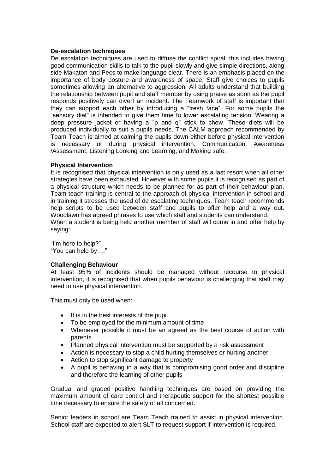#### **De-escalation techniques**

De escalation techniques are used to diffuse the conflict spiral, this includes having good communication skills to talk to the pupil slowly and give simple directions, along side Makaton and Pecs to make language clear. There is an emphasis placed on the importance of body posture and awareness of space. Staff give choices to pupils sometimes allowing an alternative to aggression. All adults understand that building the relationship between pupil and staff member by using praise as soon as the pupil responds positively can divert an incident. The Teamwork of staff is important that they can support each other by introducing a "fresh face". For some pupils the "sensory diet" is intended to give them time to lower escalating tension. Wearing a deep pressure jacket or having a "p and q" stick to chew. These diets will be produced individually to suit a pupils needs. The CALM approach recommended by Team Teach is aimed at calming the pupils down either before physical intervention is necessary or during physical intervention. Communication, Awareness /Assessment, Listening Looking and Learning, and Making safe.

#### **Physical Intervention**

It is recognised that physical intervention is only used as a last resort when all other strategies have been exhausted. However with some pupils it is recognised as part of a physical structure which needs to be planned for as part of their behaviour plan. Team teach training is central to the approach of physical intervention in school and in training it stresses the used of de escalating techniques. Team teach recommends help scripts to be used between staff and pupils to offer help and a way out. Woodlawn has agreed phrases to use which staff and students can understand. When a student is being held another member of staff will come in and offer help by saying:

"I'm here to help?" "You can help by…."

#### **Challenging Behaviour**

At least 95% of incidents should be managed without recourse to physical intervention, it is recognised that when pupils behaviour is challenging that staff may need to use physical intervention.

This must only be used when:

- It is in the best interests of the pupil
- To be employed for the minimum amount of time
- Whenever possible it must be an agreed as the best course of action with parents
- Planned physical intervention must be supported by a risk assessment
- Action is necessary to stop a child hurting themselves or hurting another
- Action to stop significant damage to property
- A pupil is behaving in a way that is compromising good order and discipline and therefore the learning of other pupils

Gradual and graded positive handling techniques are based on providing the maximum amount of care control and therapeutic support for the shortest possible time necessary to ensure the safety of all concerned.

Senior leaders in school are Team Teach trained to assist in physical intervention. School staff are expected to alert SLT to request support if intervention is required.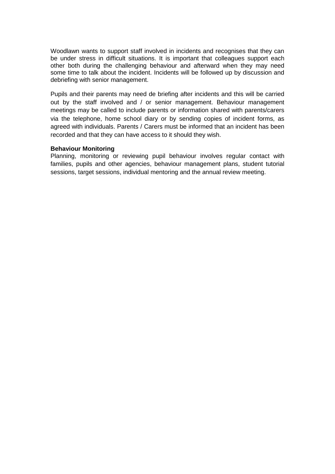Woodlawn wants to support staff involved in incidents and recognises that they can be under stress in difficult situations. It is important that colleagues support each other both during the challenging behaviour and afterward when they may need some time to talk about the incident. Incidents will be followed up by discussion and debriefing with senior management.

Pupils and their parents may need de briefing after incidents and this will be carried out by the staff involved and / or senior management. Behaviour management meetings may be called to include parents or information shared with parents/carers via the telephone, home school diary or by sending copies of incident forms, as agreed with individuals. Parents / Carers must be informed that an incident has been recorded and that they can have access to it should they wish.

#### **Behaviour Monitoring**

Planning, monitoring or reviewing pupil behaviour involves regular contact with families, pupils and other agencies, behaviour management plans, student tutorial sessions, target sessions, individual mentoring and the annual review meeting.